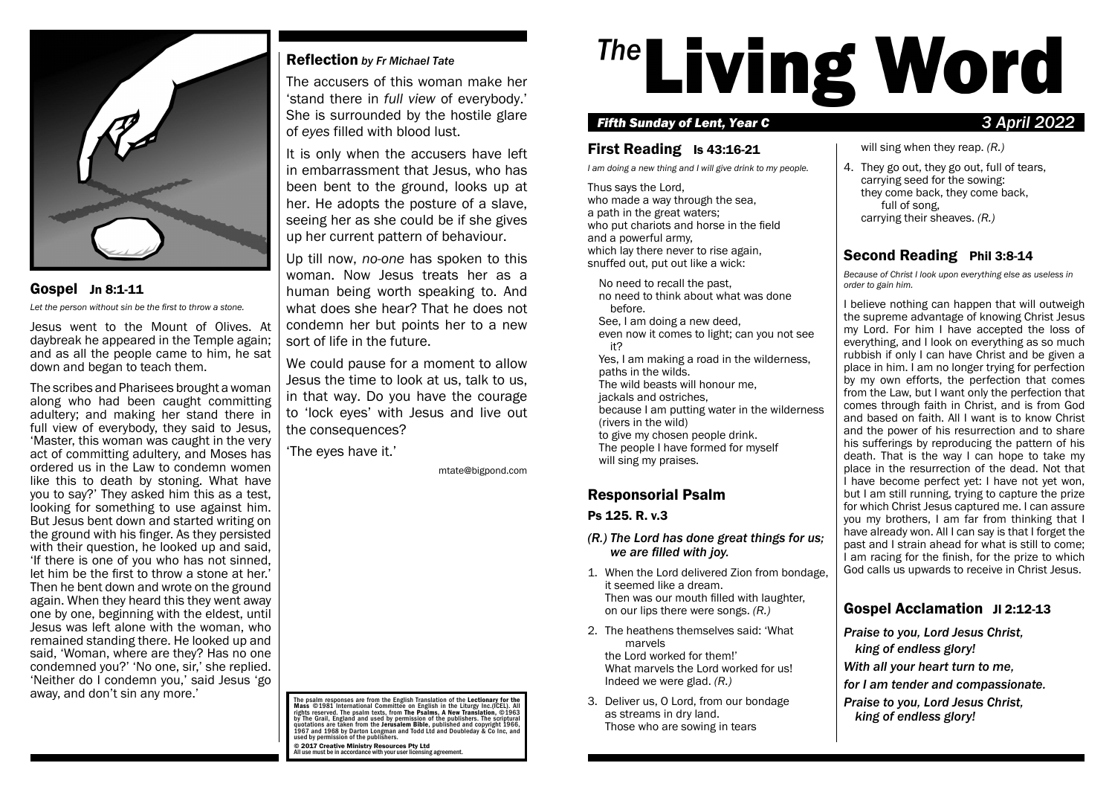

## Gospel Jn 8:1-11

*Let the person without sin be the first to throw a stone.*

Jesus went to the Mount of Olives. At daybreak he appeared in the Temple again; and as all the people came to him, he sat down and began to teach them.

The scribes and Pharisees brought a woman along who had been caught committing adultery; and making her stand there in full view of everybody, they said to Jesus, 'Master, this woman was caught in the very act of committing adultery, and Moses has ordered us in the Law to condemn women like this to death by stoning. What have you to say?' They asked him this as a test, looking for something to use against him. But Jesus bent down and started writing on the ground with his finger. As they persisted with their question, he looked up and said, 'If there is one of you who has not sinned, let him be the first to throw a stone at her.' Then he bent down and wrote on the ground again. When they heard this they went away one by one, beginning with the eldest, until Jesus was left alone with the woman, who remained standing there. He looked up and said, 'Woman, where are they? Has no one condemned you?' 'No one, sir,' she replied. 'Neither do I condemn you,' said Jesus 'go

## Reflection *by Fr Michael Tate*

The accusers of this woman make her 'stand there in *full view* of everybody.' She is surrounded by the hostile glare of *eyes* filled with blood lust.

It is only when the accusers have left in embarrassment that Jesus, who has been bent to the ground, looks up at her. He adopts the posture of a slave, seeing her as she could be if she gives up her current pattern of behaviour.

Up till now, *no-one* has spoken to this woman. Now Jesus treats her as a human being worth speaking to. And what does she hear? That he does not condemn her but points her to a new sort of life in the future.

We could pause for a moment to allow Jesus the time to look at us, talk to us, in that way. Do you have the courage to 'lock eyes' with Jesus and live out the consequences?

'The eyes have it.'

mtate@bigpond.com

away, and don't sin any more.'<br>Mass ©1981 International Committee on English in the Lectionary for the Mass ©1981 International Committee on English in the Liturgy Inc.(ICEL). All rights reserved. The psalm texts, from The Psalms, A New Translation, ©1963<br>by The Grail, England and used by permission of the publishers. The scriptural<br>quotations are taken from the Jerusalem Bible, published and copyri

© 2017 Creative Ministry Resources Pty Ltd All use must be in accordance with your user licensing agreement.

# <sup>The</sup>Living Word

## *Fifth Sunday of Lent, Year C 3 April 2022*

## First Reading Is 43:16-21

*I am doing a new thing and I will give drink to my people.*

Thus says the Lord, who made a way through the sea. a path in the great waters; who put chariots and horse in the field and a powerful army, which lay there never to rise again. snuffed out, put out like a wick:

No need to recall the past,

no need to think about what was done before.

See, I am doing a new deed, even now it comes to light; can you not see

it? Yes, I am making a road in the wilderness,

paths in the wilds.

The wild beasts will honour me,

jackals and ostriches,

because I am putting water in the wilderness (rivers in the wild)

to give my chosen people drink.

The people I have formed for myself will sing my praises.

## Responsorial Psalm

## Ps 125. R. v.3

- *(R.) The Lord has done great things for us; we are filled with joy.*
- 1. When the Lord delivered Zion from bondage, it seemed like a dream. Then was our mouth filled with laughter, on our lips there were songs. *(R.)*
- 2. The heathens themselves said: 'What marvels the Lord worked for them!' What marvels the Lord worked for us! Indeed we were glad. *(R.)*
- 3. Deliver us, O Lord, from our bondage as streams in dry land. Those who are sowing in tears

# will sing when they reap. *(R.)*

4. They go out, they go out, full of tears, carrying seed for the sowing: they come back, they come back, full of song, carrying their sheaves. *(R.)*

## Second Reading Phil 3:8-14

*Because of Christ I look upon everything else as useless in order to gain him.*

I believe nothing can happen that will outweigh the supreme advantage of knowing Christ Jesus my Lord. For him I have accepted the loss of everything, and I look on everything as so much rubbish if only I can have Christ and be given a place in him. I am no longer trying for perfection by my own efforts, the perfection that comes from the Law, but I want only the perfection that comes through faith in Christ, and is from God and based on faith. All I want is to know Christ and the power of his resurrection and to share his sufferings by reproducing the pattern of his death. That is the way I can hope to take my place in the resurrection of the dead. Not that I have become perfect yet: I have not yet won, but I am still running, trying to capture the prize for which Christ Jesus captured me. I can assure you my brothers, I am far from thinking that I have already won. All I can say is that I forget the past and I strain ahead for what is still to come; I am racing for the finish, for the prize to which God calls us upwards to receive in Christ Jesus.

## Gospel Acclamation Jl 2:12-13

*Praise to you, Lord Jesus Christ, king of endless glory! With all your heart turn to me, for I am tender and compassionate. Praise to you, Lord Jesus Christ, king of endless glory!*